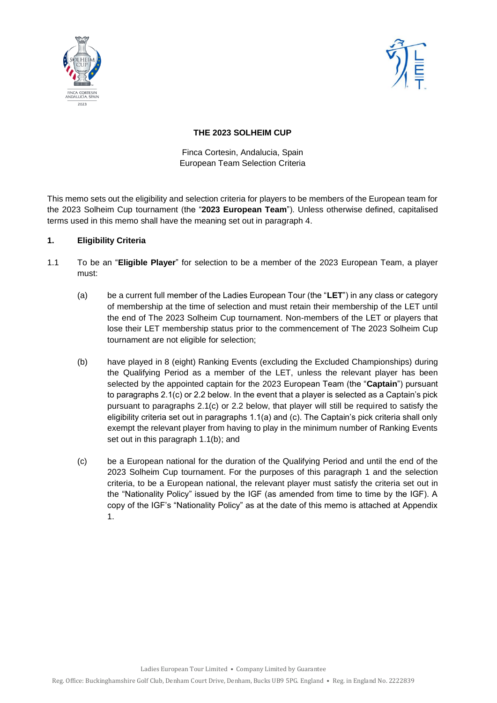



### **THE 2023 SOLHEIM CUP**

Finca Cortesin, Andalucia, Spain European Team Selection Criteria

This memo sets out the eligibility and selection criteria for players to be members of the European team for the 2023 Solheim Cup tournament (the "**2023 European Team**"). Unless otherwise defined, capitalised terms used in this memo shall have the meaning set out in paragraph 4.

### **1. Eligibility Criteria**

- 1.1 To be an "**Eligible Player**" for selection to be a member of the 2023 European Team, a player must:
	- (a) be a current full member of the Ladies European Tour (the "**LET**") in any class or category of membership at the time of selection and must retain their membership of the LET until the end of The 2023 Solheim Cup tournament. Non-members of the LET or players that lose their LET membership status prior to the commencement of The 2023 Solheim Cup tournament are not eligible for selection;
	- (b) have played in 8 (eight) Ranking Events (excluding the Excluded Championships) during the Qualifying Period as a member of the LET, unless the relevant player has been selected by the appointed captain for the 2023 European Team (the "**Captain**") pursuant to paragraphs 2.1(c) or 2.2 below. In the event that a player is selected as a Captain's pick pursuant to paragraphs 2.1(c) or 2.2 below, that player will still be required to satisfy the eligibility criteria set out in paragraphs 1.1(a) and (c). The Captain's pick criteria shall only exempt the relevant player from having to play in the minimum number of Ranking Events set out in this paragraph 1.1(b); and
	- (c) be a European national for the duration of the Qualifying Period and until the end of the 2023 Solheim Cup tournament. For the purposes of this paragraph 1 and the selection criteria, to be a European national, the relevant player must satisfy the criteria set out in the "Nationality Policy" issued by the IGF (as amended from time to time by the IGF). A copy of the IGF's "Nationality Policy" as at the date of this memo is attached at Appendix 1.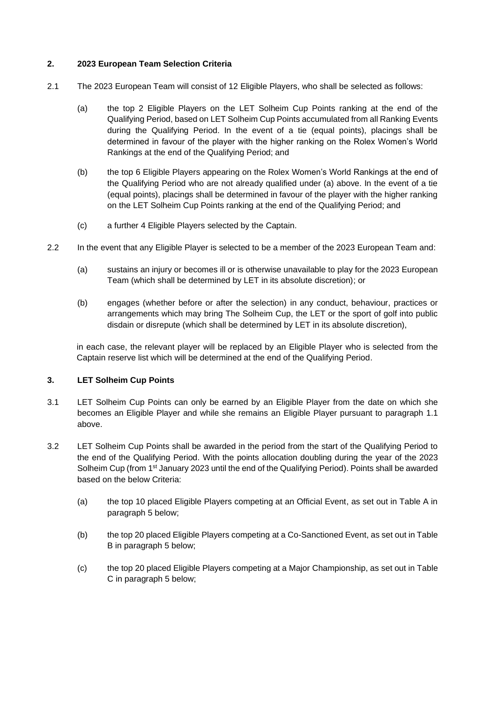#### **2. 2023 European Team Selection Criteria**

- 2.1 The 2023 European Team will consist of 12 Eligible Players, who shall be selected as follows:
	- (a) the top 2 Eligible Players on the LET Solheim Cup Points ranking at the end of the Qualifying Period, based on LET Solheim Cup Points accumulated from all Ranking Events during the Qualifying Period. In the event of a tie (equal points), placings shall be determined in favour of the player with the higher ranking on the Rolex Women's World Rankings at the end of the Qualifying Period; and
	- (b) the top 6 Eligible Players appearing on the Rolex Women's World Rankings at the end of the Qualifying Period who are not already qualified under (a) above. In the event of a tie (equal points), placings shall be determined in favour of the player with the higher ranking on the LET Solheim Cup Points ranking at the end of the Qualifying Period; and
	- (c) a further 4 Eligible Players selected by the Captain.
- 2.2 In the event that any Eligible Player is selected to be a member of the 2023 European Team and:
	- (a) sustains an injury or becomes ill or is otherwise unavailable to play for the 2023 European Team (which shall be determined by LET in its absolute discretion); or
	- (b) engages (whether before or after the selection) in any conduct, behaviour, practices or arrangements which may bring The Solheim Cup, the LET or the sport of golf into public disdain or disrepute (which shall be determined by LET in its absolute discretion),

in each case, the relevant player will be replaced by an Eligible Player who is selected from the Captain reserve list which will be determined at the end of the Qualifying Period.

#### **3. LET Solheim Cup Points**

- 3.1 LET Solheim Cup Points can only be earned by an Eligible Player from the date on which she becomes an Eligible Player and while she remains an Eligible Player pursuant to paragraph 1.1 above.
- 3.2 LET Solheim Cup Points shall be awarded in the period from the start of the Qualifying Period to the end of the Qualifying Period. With the points allocation doubling during the year of the 2023 Solheim Cup (from 1<sup>st</sup> January 2023 until the end of the Qualifying Period). Points shall be awarded based on the below Criteria:
	- (a) the top 10 placed Eligible Players competing at an Official Event, as set out in Table A in paragraph 5 below;
	- (b) the top 20 placed Eligible Players competing at a Co-Sanctioned Event, as set out in Table B in paragraph 5 below;
	- (c) the top 20 placed Eligible Players competing at a Major Championship, as set out in Table C in paragraph 5 below;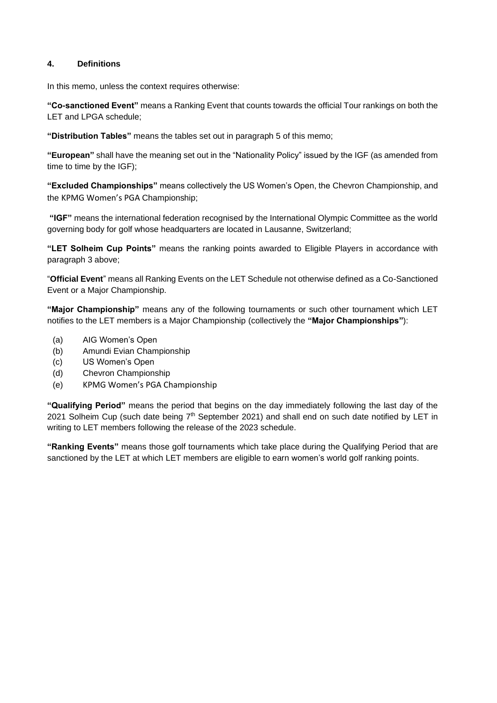### **4. Definitions**

In this memo, unless the context requires otherwise:

**"Co-sanctioned Event"** means a Ranking Event that counts towards the official Tour rankings on both the LET and LPGA schedule;

**"Distribution Tables"** means the tables set out in paragraph 5 of this memo;

**"European"** shall have the meaning set out in the "Nationality Policy" issued by the IGF (as amended from time to time by the IGF);

**"Excluded Championships"** means collectively the US Women's Open, the Chevron Championship, and the KPMG Women's PGA Championship;

**"IGF"** means the international federation recognised by the International Olympic Committee as the world governing body for golf whose headquarters are located in Lausanne, Switzerland;

**"LET Solheim Cup Points"** means the ranking points awarded to Eligible Players in accordance with paragraph 3 above;

"**Official Event**" means all Ranking Events on the LET Schedule not otherwise defined as a Co-Sanctioned Event or a Major Championship.

**"Major Championship"** means any of the following tournaments or such other tournament which LET notifies to the LET members is a Major Championship (collectively the **"Major Championships"**):

- (a) AIG Women's Open
- (b) Amundi Evian Championship
- (c) US Women's Open
- (d) Chevron Championship
- (e) KPMG Women's PGA Championship

**"Qualifying Period"** means the period that begins on the day immediately following the last day of the 2021 Solheim Cup (such date being  $7<sup>th</sup>$  September 2021) and shall end on such date notified by LET in writing to LET members following the release of the 2023 schedule.

**"Ranking Events"** means those golf tournaments which take place during the Qualifying Period that are sanctioned by the LET at which LET members are eligible to earn women's world golf ranking points.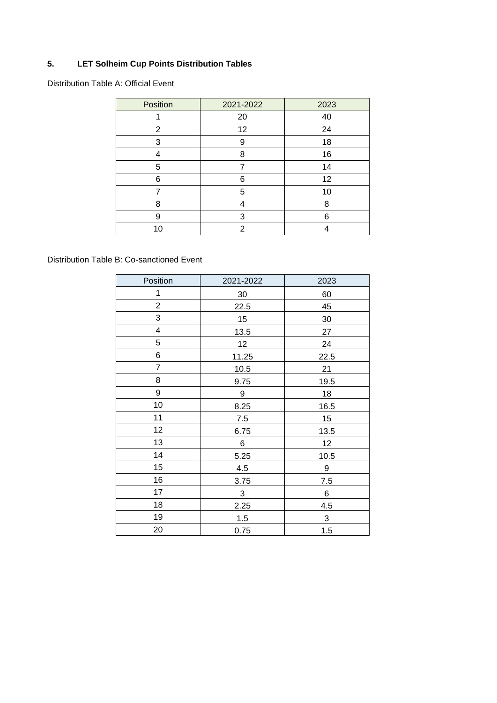# **5. LET Solheim Cup Points Distribution Tables**

Distribution Table A: Official Event

| Position | 2021-2022 | 2023 |
|----------|-----------|------|
|          | 20        | 40   |
| 2        | 12        | 24   |
| 3        | 9         | 18   |
| 4        | 8         | 16   |
| 5        |           | 14   |
| 6        | 6         | 12   |
|          | 5         | 10   |
| 8        | 4         | 8    |
| 9        | 3         | 6    |
| 10       | 2         |      |

Distribution Table B: Co-sanctioned Event

| Position                | 2021-2022      | 2023         |
|-------------------------|----------------|--------------|
| 1                       | 30             | 60           |
| $\overline{c}$          | 22.5           | 45           |
| 3                       | 15             | $30\,$       |
| $\overline{\mathbf{4}}$ | 13.5           | 27           |
| 5                       | 12             | 24           |
| 6                       | 11.25          | 22.5         |
| $\overline{7}$          | 10.5           | 21           |
| 8                       | 9.75           | 19.5         |
| 9                       | 9              | 18           |
| 10                      | 8.25           | 16.5         |
| 11                      | $7.5\,$        | 15           |
| 12                      | 6.75           | 13.5         |
| 13                      | 6              | 12           |
| 14                      | 5.25           | 10.5         |
| 15                      | 4.5            | 9            |
| 16                      | 3.75           | 7.5          |
| 17                      | $\mathfrak{S}$ | 6            |
| 18                      | 2.25           | 4.5          |
| 19                      | 1.5            | $\mathbf{3}$ |
| 20                      | 0.75           | 1.5          |